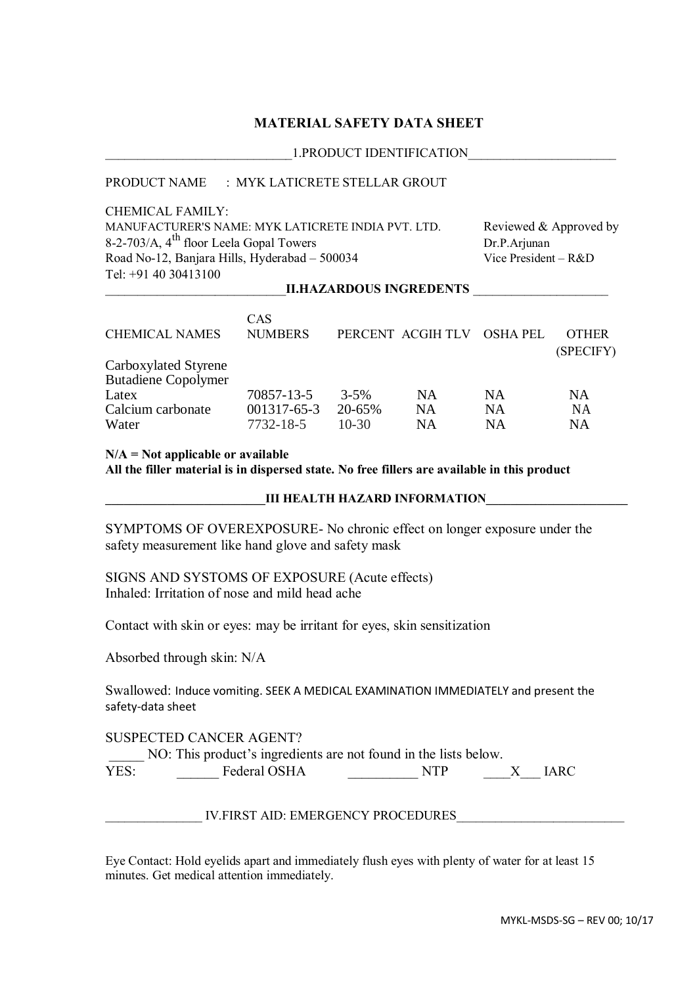# **MATERIAL SAFETY DATA SHEET**

#### \_\_\_\_\_\_\_\_\_\_\_\_\_\_\_\_\_\_\_\_\_\_\_\_\_\_\_\_\_1.PRODUCT IDENTIFICATION\_\_\_\_\_\_\_\_\_\_\_\_\_\_\_\_\_\_\_\_\_\_\_

## PRODUCT NAME : MYK LATICRETE STELLAR GROUT

CHEMICAL FAMILY: MANUFACTURER'S NAME: MYK LATICRETE INDIA PVT. LTD. Reviewed & Approved by 8-2-703/A,  $4^{\text{th}}$  floor Leela Gopal Towers Dr.P.Arjunan Road No-12, Banjara Hills, Hyderabad – 500034 Vice President – R&D Tel: +91 40 30413100

## \_\_\_\_\_\_\_\_\_\_\_\_\_\_\_\_\_\_\_\_\_\_\_\_\_\_\_\_**II.HAZARDOUS INGREDENTS** \_\_\_\_\_\_\_\_\_\_\_\_\_\_\_\_\_\_\_\_\_

|                            | CAS               |           |                   |                 |              |
|----------------------------|-------------------|-----------|-------------------|-----------------|--------------|
| <b>CHEMICAL NAMES</b>      | <b>NUMBERS</b>    |           | PERCENT ACGIH TLV | <b>OSHA PEL</b> | <b>OTHER</b> |
|                            |                   |           |                   |                 | (SPECIFY)    |
| Carboxylated Styrene       |                   |           |                   |                 |              |
| <b>Butadiene Copolymer</b> |                   |           |                   |                 |              |
| Latex                      | 70857-13-5        | $3 - 5\%$ | <b>NA</b>         | <b>NA</b>       | NA           |
| Calcium carbonate          | $001317 - 65 - 3$ | 20-65%    | <b>NA</b>         | <b>NA</b>       | NA           |
| Water                      | 7732-18-5         | $10-30$   | <b>NA</b>         | NA              | NA           |

#### **N/A = Not applicable or available**

**All the filler material is in dispersed state. No free fillers are available in this product**

## **LII HEALTH HAZARD INFORMATION**

SYMPTOMS OF OVEREXPOSURE- No chronic effect on longer exposure under the safety measurement like hand glove and safety mask

# SIGNS AND SYSTOMS OF EXPOSURE (Acute effects) Inhaled: Irritation of nose and mild head ache

Contact with skin or eyes: may be irritant for eyes, skin sensitization

Absorbed through skin: N/A

Swallowed: Induce vomiting. SEEK A MEDICAL EXAMINATION IMMEDIATELY and present the safety-data sheet

## SUSPECTED CANCER AGENT?

NO: This product's ingredients are not found in the lists below.

YES: Federal OSHA NTP X IARC

IV.FIRST AID: EMERGENCY PROCEDURES

Eye Contact: Hold eyelids apart and immediately flush eyes with plenty of water for at least 15 minutes. Get medical attention immediately.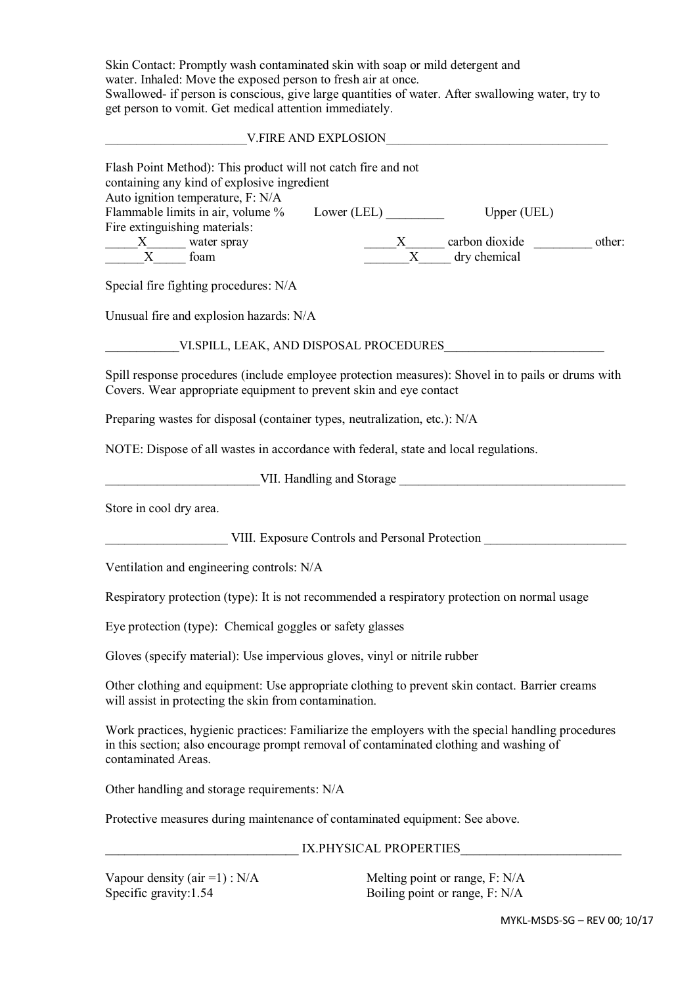Skin Contact: Promptly wash contaminated skin with soap or mild detergent and water. Inhaled: Move the exposed person to fresh air at once. Swallowed- if person is conscious, give large quantities of water. After swallowing water, try to get person to vomit. Get medical attention immediately.

V.FIRE AND EXPLOSION

| Flash Point Method): This product will not catch fire and not<br>containing any kind of explosive ingredient                                                                                                        |                                                 |                                     |  |
|---------------------------------------------------------------------------------------------------------------------------------------------------------------------------------------------------------------------|-------------------------------------------------|-------------------------------------|--|
| Auto ignition temperature, F: N/A<br>Flammable limits in air, volume %                                                                                                                                              |                                                 | Upper (UEL)                         |  |
| Fire extinguishing materials:                                                                                                                                                                                       |                                                 |                                     |  |
| $\frac{X}{X}$ water spray                                                                                                                                                                                           |                                                 | $\frac{X}{X}$ carbon dioxide other: |  |
|                                                                                                                                                                                                                     |                                                 |                                     |  |
| Special fire fighting procedures: N/A                                                                                                                                                                               |                                                 |                                     |  |
| Unusual fire and explosion hazards: N/A                                                                                                                                                                             |                                                 |                                     |  |
| VI.SPILL, LEAK, AND DISPOSAL PROCEDURES                                                                                                                                                                             |                                                 |                                     |  |
| Spill response procedures (include employee protection measures): Shovel in to pails or drums with<br>Covers. Wear appropriate equipment to prevent skin and eye contact                                            |                                                 |                                     |  |
| Preparing wastes for disposal (container types, neutralization, etc.): N/A                                                                                                                                          |                                                 |                                     |  |
| NOTE: Dispose of all wastes in accordance with federal, state and local regulations.                                                                                                                                |                                                 |                                     |  |
| VII. Handling and Storage                                                                                                                                                                                           |                                                 |                                     |  |
| Store in cool dry area.                                                                                                                                                                                             |                                                 |                                     |  |
|                                                                                                                                                                                                                     | VIII. Exposure Controls and Personal Protection |                                     |  |
| Ventilation and engineering controls: N/A                                                                                                                                                                           |                                                 |                                     |  |
| Respiratory protection (type): It is not recommended a respiratory protection on normal usage                                                                                                                       |                                                 |                                     |  |
| Eye protection (type): Chemical goggles or safety glasses                                                                                                                                                           |                                                 |                                     |  |
| Gloves (specify material): Use impervious gloves, vinyl or nitrile rubber                                                                                                                                           |                                                 |                                     |  |
| Other clothing and equipment: Use appropriate clothing to prevent skin contact. Barrier creams<br>will assist in protecting the skin from contamination.                                                            |                                                 |                                     |  |
| Work practices, hygienic practices: Familiarize the employers with the special handling procedures<br>in this section; also encourage prompt removal of contaminated clothing and washing of<br>contaminated Areas. |                                                 |                                     |  |
| Other handling and storage requirements: N/A                                                                                                                                                                        |                                                 |                                     |  |
| Protective measures during maintenance of contaminated equipment: See above.                                                                                                                                        |                                                 |                                     |  |
|                                                                                                                                                                                                                     | IX.PHYSICAL PROPERTIES                          |                                     |  |
| Vapour density (air = 1) : $N/A$                                                                                                                                                                                    |                                                 | Melting point or range, F: N/A      |  |

Specific gravity:1.54 Boiling point or range, F: N/A